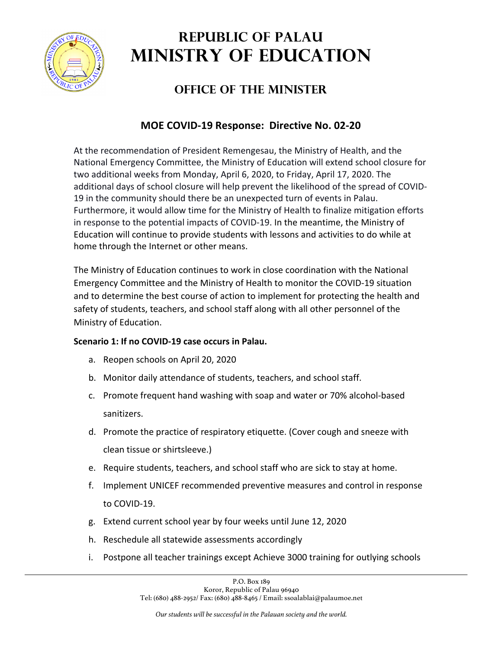

## **REPUBLIC OF PALAU MINISTRY OF EDUCATION**

## **OFFICE OF THE MINISTER**

## **MOE COVID-19 Response: Directive No. 02-20**

At the recommendation of President Remengesau, the Ministry of Health, and the National Emergency Committee, the Ministry of Education will extend school closure for two additional weeks from Monday, April 6, 2020, to Friday, April 17, 2020. The additional days of school closure will help prevent the likelihood of the spread of COVID-19 in the community should there be an unexpected turn of events in Palau. Furthermore, it would allow time for the Ministry of Health to finalize mitigation efforts in response to the potential impacts of COVID-19. In the meantime, the Ministry of Education will continue to provide students with lessons and activities to do while at home through the Internet or other means.

The Ministry of Education continues to work in close coordination with the National Emergency Committee and the Ministry of Health to monitor the COVID-19 situation and to determine the best course of action to implement for protecting the health and safety of students, teachers, and school staff along with all other personnel of the Ministry of Education.

## **Scenario 1: If no COVID-19 case occurs in Palau.**

- a. Reopen schools on April 20, 2020
- b. Monitor daily attendance of students, teachers, and school staff.
- c. Promote frequent hand washing with soap and water or 70% alcohol-based sanitizers.
- d. Promote the practice of respiratory etiquette. (Cover cough and sneeze with clean tissue or shirtsleeve.)
- e. Require students, teachers, and school staff who are sick to stay at home.
- f. Implement UNICEF recommended preventive measures and control in response to COVID-19.
- g. Extend current school year by four weeks until June 12, 2020
- h. Reschedule all statewide assessments accordingly
- i. Postpone all teacher trainings except Achieve 3000 training for outlying schools